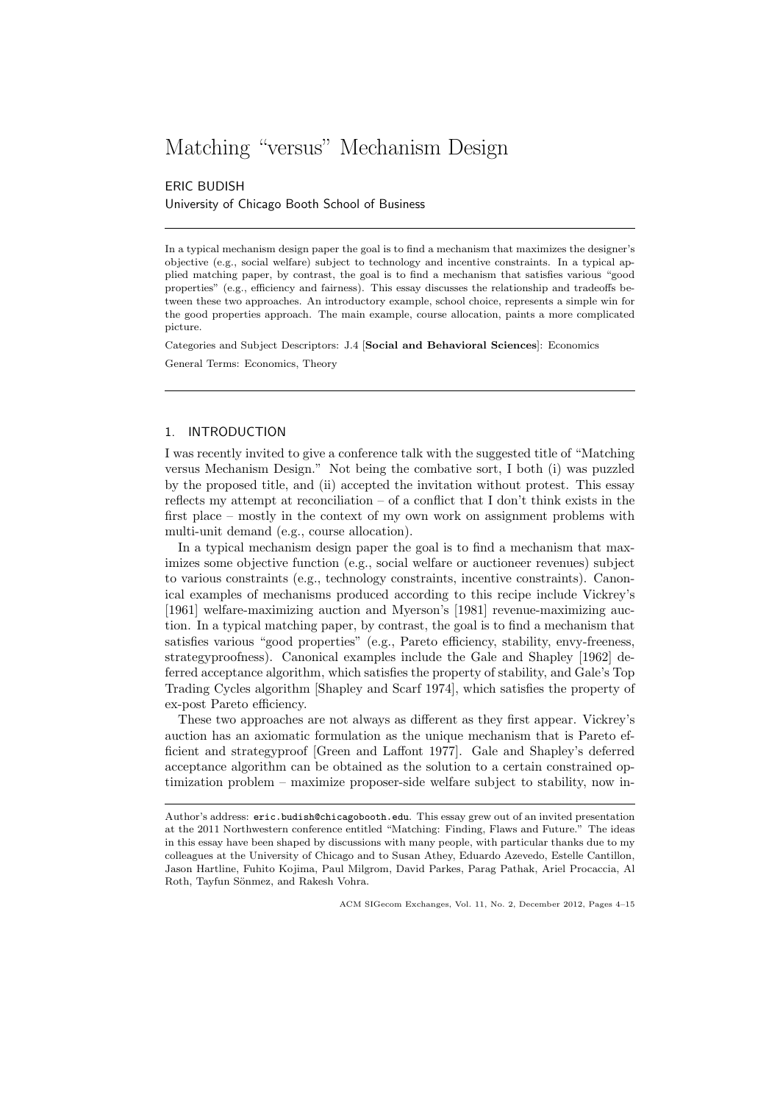# Matching "versus" Mechanism Design

## ERIC BUDISH

University of Chicago Booth School of Business

In a typical mechanism design paper the goal is to find a mechanism that maximizes the designer's objective (e.g., social welfare) subject to technology and incentive constraints. In a typical applied matching paper, by contrast, the goal is to find a mechanism that satisfies various "good properties" (e.g., efficiency and fairness). This essay discusses the relationship and tradeoffs between these two approaches. An introductory example, school choice, represents a simple win for the good properties approach. The main example, course allocation, paints a more complicated picture.

Categories and Subject Descriptors: J.4 [Social and Behavioral Sciences]: Economics General Terms: Economics, Theory

### 1. INTRODUCTION

I was recently invited to give a conference talk with the suggested title of "Matching versus Mechanism Design." Not being the combative sort, I both (i) was puzzled by the proposed title, and (ii) accepted the invitation without protest. This essay reflects my attempt at reconciliation – of a conflict that I don't think exists in the first place – mostly in the context of my own work on assignment problems with multi-unit demand (e.g., course allocation).

In a typical mechanism design paper the goal is to find a mechanism that maximizes some objective function (e.g., social welfare or auctioneer revenues) subject to various constraints (e.g., technology constraints, incentive constraints). Canonical examples of mechanisms produced according to this recipe include Vickrey's [1961] welfare-maximizing auction and Myerson's [1981] revenue-maximizing auction. In a typical matching paper, by contrast, the goal is to find a mechanism that satisfies various "good properties" (e.g., Pareto efficiency, stability, envy-freeness, strategyproofness). Canonical examples include the Gale and Shapley [1962] deferred acceptance algorithm, which satisfies the property of stability, and Gale's Top Trading Cycles algorithm [Shapley and Scarf 1974], which satisfies the property of ex-post Pareto efficiency.

These two approaches are not always as different as they first appear. Vickrey's auction has an axiomatic formulation as the unique mechanism that is Pareto efficient and strategyproof [Green and Laffont 1977]. Gale and Shapley's deferred acceptance algorithm can be obtained as the solution to a certain constrained optimization problem – maximize proposer-side welfare subject to stability, now in-

Author's address: eric.budish@chicagobooth.edu. This essay grew out of an invited presentation at the 2011 Northwestern conference entitled "Matching: Finding, Flaws and Future." The ideas in this essay have been shaped by discussions with many people, with particular thanks due to my colleagues at the University of Chicago and to Susan Athey, Eduardo Azevedo, Estelle Cantillon, Jason Hartline, Fuhito Kojima, Paul Milgrom, David Parkes, Parag Pathak, Ariel Procaccia, Al Roth, Tayfun Sönmez, and Rakesh Vohra.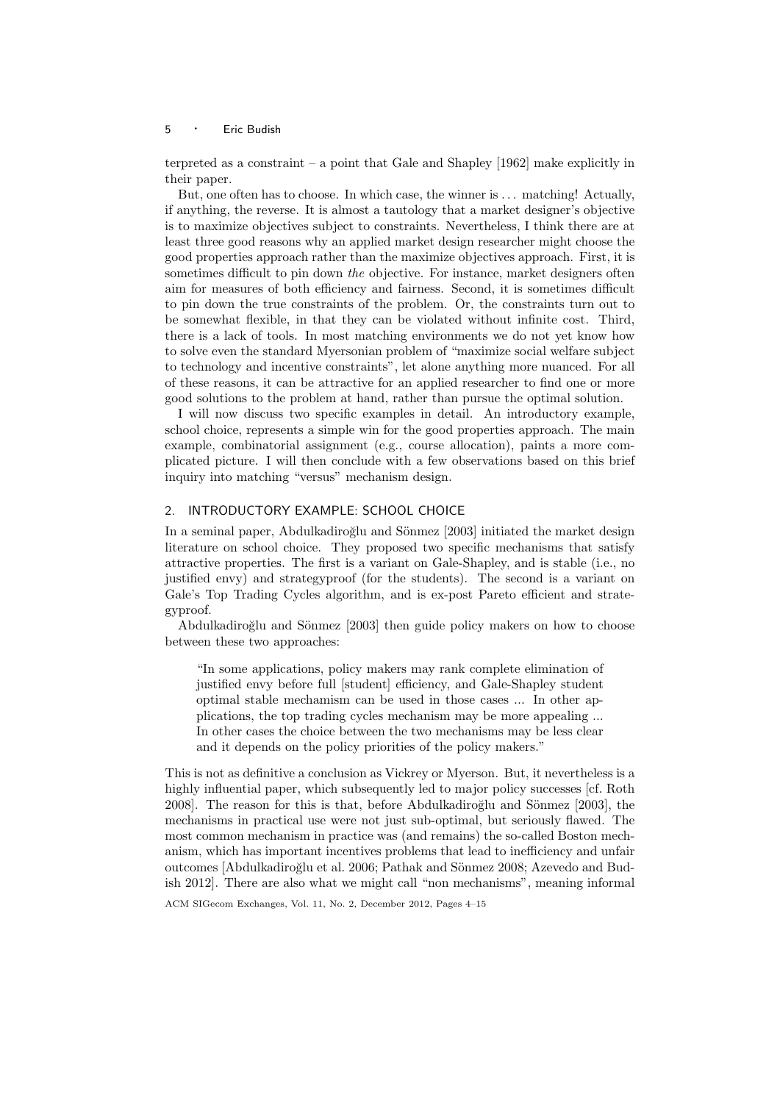terpreted as a constraint – a point that Gale and Shapley [1962] make explicitly in their paper.

But, one often has to choose. In which case, the winner is . . . matching! Actually, if anything, the reverse. It is almost a tautology that a market designer's objective is to maximize objectives subject to constraints. Nevertheless, I think there are at least three good reasons why an applied market design researcher might choose the good properties approach rather than the maximize objectives approach. First, it is sometimes difficult to pin down the objective. For instance, market designers often aim for measures of both efficiency and fairness. Second, it is sometimes difficult to pin down the true constraints of the problem. Or, the constraints turn out to be somewhat flexible, in that they can be violated without infinite cost. Third, there is a lack of tools. In most matching environments we do not yet know how to solve even the standard Myersonian problem of "maximize social welfare subject to technology and incentive constraints", let alone anything more nuanced. For all of these reasons, it can be attractive for an applied researcher to find one or more good solutions to the problem at hand, rather than pursue the optimal solution.

I will now discuss two specific examples in detail. An introductory example, school choice, represents a simple win for the good properties approach. The main example, combinatorial assignment (e.g., course allocation), paints a more complicated picture. I will then conclude with a few observations based on this brief inquiry into matching "versus" mechanism design.

## 2. INTRODUCTORY EXAMPLE: SCHOOL CHOICE

In a seminal paper, Abdulkadiroğlu and Sönmez [2003] initiated the market design literature on school choice. They proposed two specific mechanisms that satisfy attractive properties. The first is a variant on Gale-Shapley, and is stable (i.e., no justified envy) and strategyproof (for the students). The second is a variant on Gale's Top Trading Cycles algorithm, and is ex-post Pareto efficient and strategyproof.

Abdulkadiroğlu and Sönmez [2003] then guide policy makers on how to choose between these two approaches:

"In some applications, policy makers may rank complete elimination of justified envy before full [student] efficiency, and Gale-Shapley student optimal stable mechamism can be used in those cases ... In other applications, the top trading cycles mechanism may be more appealing ... In other cases the choice between the two mechanisms may be less clear and it depends on the policy priorities of the policy makers."

This is not as definitive a conclusion as Vickrey or Myerson. But, it nevertheless is a highly influential paper, which subsequently led to major policy successes [cf. Roth] 2008]. The reason for this is that, before Abdulkadiroğlu and Sönmez [2003], the mechanisms in practical use were not just sub-optimal, but seriously flawed. The most common mechanism in practice was (and remains) the so-called Boston mechanism, which has important incentives problems that lead to inefficiency and unfair outcomes [Abdulkadiroğlu et al. 2006; Pathak and Sönmez 2008; Azevedo and Budish 2012]. There are also what we might call "non mechanisms", meaning informal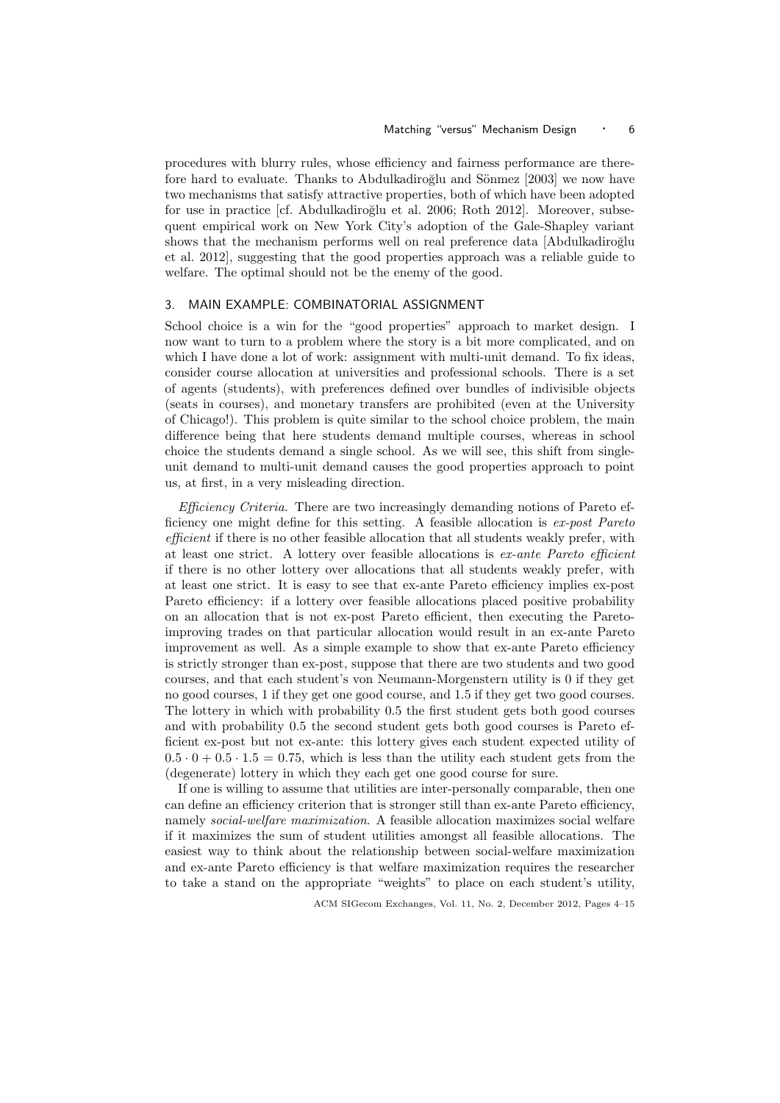procedures with blurry rules, whose efficiency and fairness performance are therefore hard to evaluate. Thanks to Abdulkadiroğlu and Sönmez [2003] we now have two mechanisms that satisfy attractive properties, both of which have been adopted for use in practice [cf. Abdulkadiroğlu et al. 2006; Roth 2012]. Moreover, subsequent empirical work on New York City's adoption of the Gale-Shapley variant shows that the mechanism performs well on real preference data [Abdulkadiroğlu] et al. 2012], suggesting that the good properties approach was a reliable guide to welfare. The optimal should not be the enemy of the good.

## 3. MAIN EXAMPLE: COMBINATORIAL ASSIGNMENT

School choice is a win for the "good properties" approach to market design. I now want to turn to a problem where the story is a bit more complicated, and on which I have done a lot of work: assignment with multi-unit demand. To fix ideas, consider course allocation at universities and professional schools. There is a set of agents (students), with preferences defined over bundles of indivisible objects (seats in courses), and monetary transfers are prohibited (even at the University of Chicago!). This problem is quite similar to the school choice problem, the main difference being that here students demand multiple courses, whereas in school choice the students demand a single school. As we will see, this shift from singleunit demand to multi-unit demand causes the good properties approach to point us, at first, in a very misleading direction.

Efficiency Criteria. There are two increasingly demanding notions of Pareto efficiency one might define for this setting. A feasible allocation is ex-post Pareto efficient if there is no other feasible allocation that all students weakly prefer, with at least one strict. A lottery over feasible allocations is  $ex$ -ante Pareto efficient if there is no other lottery over allocations that all students weakly prefer, with at least one strict. It is easy to see that ex-ante Pareto efficiency implies ex-post Pareto efficiency: if a lottery over feasible allocations placed positive probability on an allocation that is not ex-post Pareto efficient, then executing the Paretoimproving trades on that particular allocation would result in an ex-ante Pareto improvement as well. As a simple example to show that ex-ante Pareto efficiency is strictly stronger than ex-post, suppose that there are two students and two good courses, and that each student's von Neumann-Morgenstern utility is 0 if they get no good courses, 1 if they get one good course, and 1.5 if they get two good courses. The lottery in which with probability 0.5 the first student gets both good courses and with probability 0.5 the second student gets both good courses is Pareto efficient ex-post but not ex-ante: this lottery gives each student expected utility of  $0.5 \cdot 0 + 0.5 \cdot 1.5 = 0.75$ , which is less than the utility each student gets from the (degenerate) lottery in which they each get one good course for sure.

If one is willing to assume that utilities are inter-personally comparable, then one can define an efficiency criterion that is stronger still than ex-ante Pareto efficiency, namely social-welfare maximization. A feasible allocation maximizes social welfare if it maximizes the sum of student utilities amongst all feasible allocations. The easiest way to think about the relationship between social-welfare maximization and ex-ante Pareto efficiency is that welfare maximization requires the researcher to take a stand on the appropriate "weights" to place on each student's utility,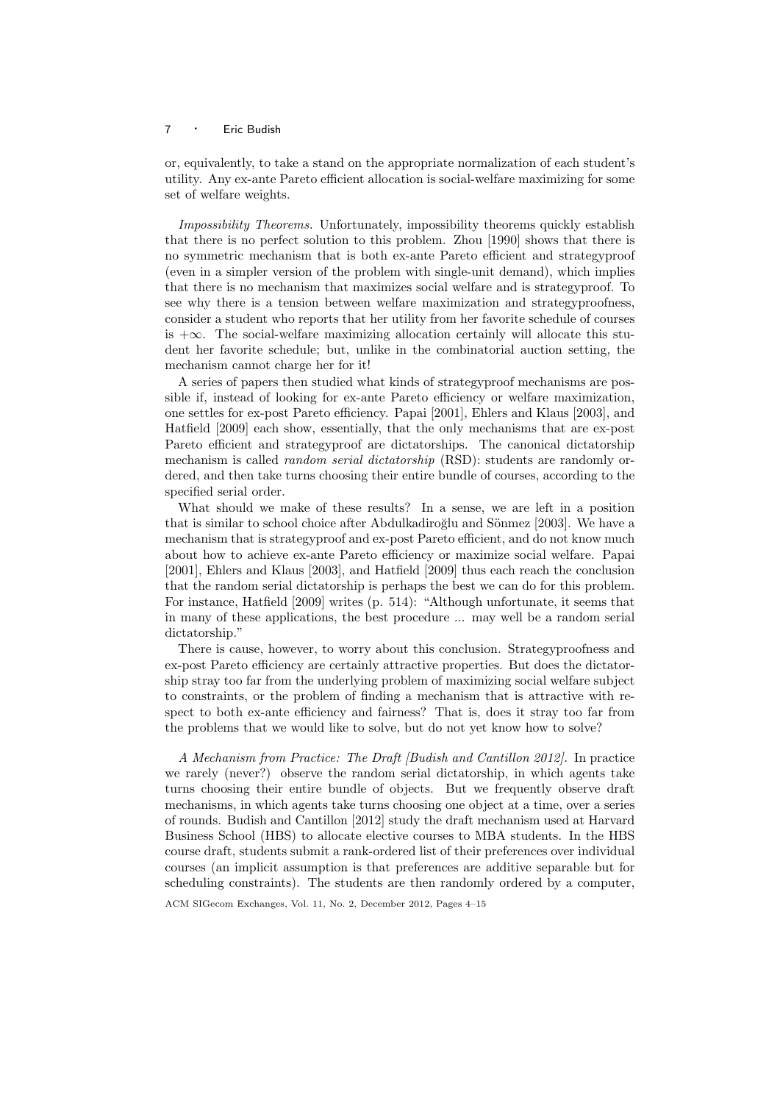or, equivalently, to take a stand on the appropriate normalization of each student's utility. Any ex-ante Pareto efficient allocation is social-welfare maximizing for some set of welfare weights.

Impossibility Theorems. Unfortunately, impossibility theorems quickly establish that there is no perfect solution to this problem. Zhou [1990] shows that there is no symmetric mechanism that is both ex-ante Pareto efficient and strategyproof (even in a simpler version of the problem with single-unit demand), which implies that there is no mechanism that maximizes social welfare and is strategyproof. To see why there is a tension between welfare maximization and strategyproofness, consider a student who reports that her utility from her favorite schedule of courses is  $+\infty$ . The social-welfare maximizing allocation certainly will allocate this student her favorite schedule; but, unlike in the combinatorial auction setting, the mechanism cannot charge her for it!

A series of papers then studied what kinds of strategyproof mechanisms are possible if, instead of looking for ex-ante Pareto efficiency or welfare maximization, one settles for ex-post Pareto efficiency. Papai [2001], Ehlers and Klaus [2003], and Hatfield [2009] each show, essentially, that the only mechanisms that are ex-post Pareto efficient and strategyproof are dictatorships. The canonical dictatorship mechanism is called *random serial dictatorship* (RSD): students are randomly ordered, and then take turns choosing their entire bundle of courses, according to the specified serial order.

What should we make of these results? In a sense, we are left in a position that is similar to school choice after Abdulkadiroğlu and Sönmez [2003]. We have a mechanism that is strategyproof and ex-post Pareto efficient, and do not know much about how to achieve ex-ante Pareto efficiency or maximize social welfare. Papai [2001], Ehlers and Klaus [2003], and Hatfield [2009] thus each reach the conclusion that the random serial dictatorship is perhaps the best we can do for this problem. For instance, Hatfield [2009] writes (p. 514): "Although unfortunate, it seems that in many of these applications, the best procedure ... may well be a random serial dictatorship."

There is cause, however, to worry about this conclusion. Strategyproofness and ex-post Pareto efficiency are certainly attractive properties. But does the dictatorship stray too far from the underlying problem of maximizing social welfare subject to constraints, or the problem of finding a mechanism that is attractive with respect to both ex-ante efficiency and fairness? That is, does it stray too far from the problems that we would like to solve, but do not yet know how to solve?

A Mechanism from Practice: The Draft [Budish and Cantillon 2012]. In practice we rarely (never?) observe the random serial dictatorship, in which agents take turns choosing their entire bundle of objects. But we frequently observe draft mechanisms, in which agents take turns choosing one object at a time, over a series of rounds. Budish and Cantillon [2012] study the draft mechanism used at Harvard Business School (HBS) to allocate elective courses to MBA students. In the HBS course draft, students submit a rank-ordered list of their preferences over individual courses (an implicit assumption is that preferences are additive separable but for scheduling constraints). The students are then randomly ordered by a computer,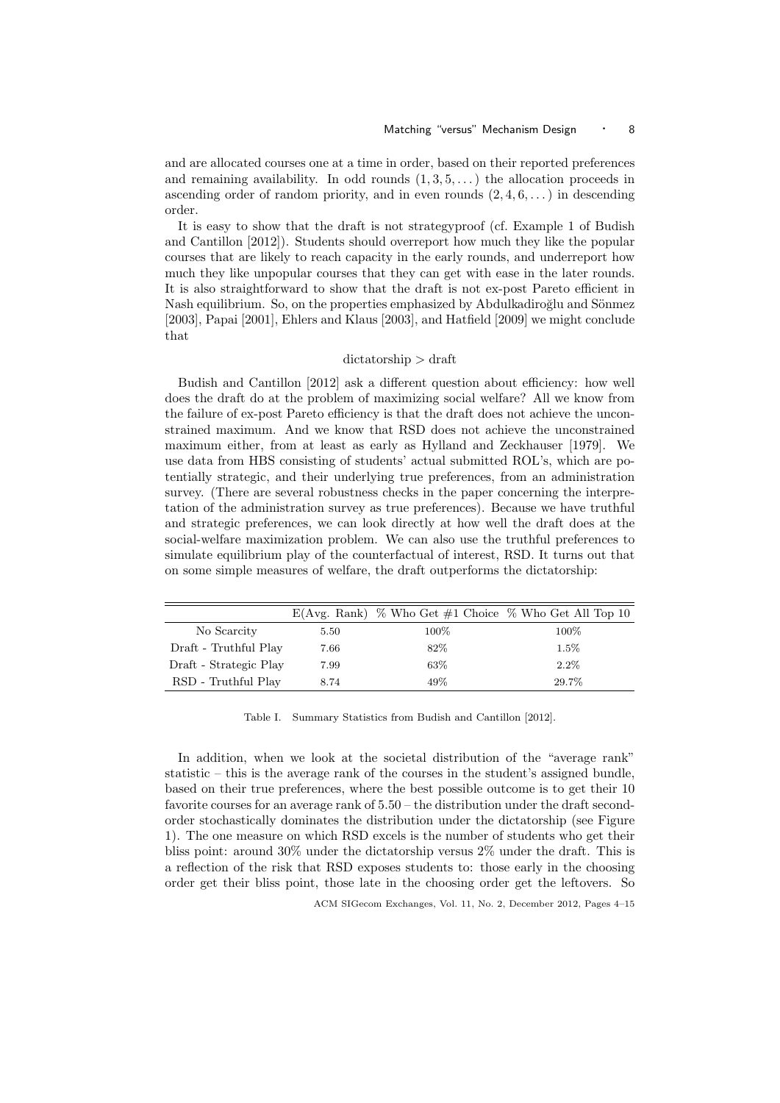and are allocated courses one at a time in order, based on their reported preferences and remaining availability. In odd rounds  $(1, 3, 5, \ldots)$  the allocation proceeds in ascending order of random priority, and in even rounds  $(2, 4, 6, \dots)$  in descending order.

It is easy to show that the draft is not strategyproof (cf. Example 1 of Budish and Cantillon [2012]). Students should overreport how much they like the popular courses that are likely to reach capacity in the early rounds, and underreport how much they like unpopular courses that they can get with ease in the later rounds. It is also straightforward to show that the draft is not ex-post Pareto efficient in Nash equilibrium. So, on the properties emphasized by Abdulkadiroğlu and Sönmez [2003], Papai [2001], Ehlers and Klaus [2003], and Hatfield [2009] we might conclude that

#### dictatorship > draft

Budish and Cantillon [2012] ask a different question about efficiency: how well does the draft do at the problem of maximizing social welfare? All we know from the failure of ex-post Pareto efficiency is that the draft does not achieve the unconstrained maximum. And we know that RSD does not achieve the unconstrained maximum either, from at least as early as Hylland and Zeckhauser [1979]. We use data from HBS consisting of students' actual submitted ROL's, which are potentially strategic, and their underlying true preferences, from an administration survey. (There are several robustness checks in the paper concerning the interpretation of the administration survey as true preferences). Because we have truthful and strategic preferences, we can look directly at how well the draft does at the social-welfare maximization problem. We can also use the truthful preferences to simulate equilibrium play of the counterfactual of interest, RSD. It turns out that on some simple measures of welfare, the draft outperforms the dictatorship:

|                        |      | $E(Avg. Rank)$ % Who Get #1 Choice % Who Get All Top 10 |         |
|------------------------|------|---------------------------------------------------------|---------|
| No Scarcity            | 5.50 | $100\%$                                                 | 100%    |
| Draft - Truthful Play  | 7.66 | 82\%                                                    | $1.5\%$ |
| Draft - Strategic Play | 7.99 | 63\%                                                    | $2.2\%$ |
| RSD - Truthful Play    | 8.74 | 49\%                                                    | 29.7%   |

Table I. Summary Statistics from Budish and Cantillon [2012].

In addition, when we look at the societal distribution of the "average rank" statistic – this is the average rank of the courses in the student's assigned bundle, based on their true preferences, where the best possible outcome is to get their 10 favorite courses for an average rank of 5.50 – the distribution under the draft secondorder stochastically dominates the distribution under the dictatorship (see Figure 1). The one measure on which RSD excels is the number of students who get their bliss point: around 30% under the dictatorship versus 2% under the draft. This is a reflection of the risk that RSD exposes students to: those early in the choosing order get their bliss point, those late in the choosing order get the leftovers. So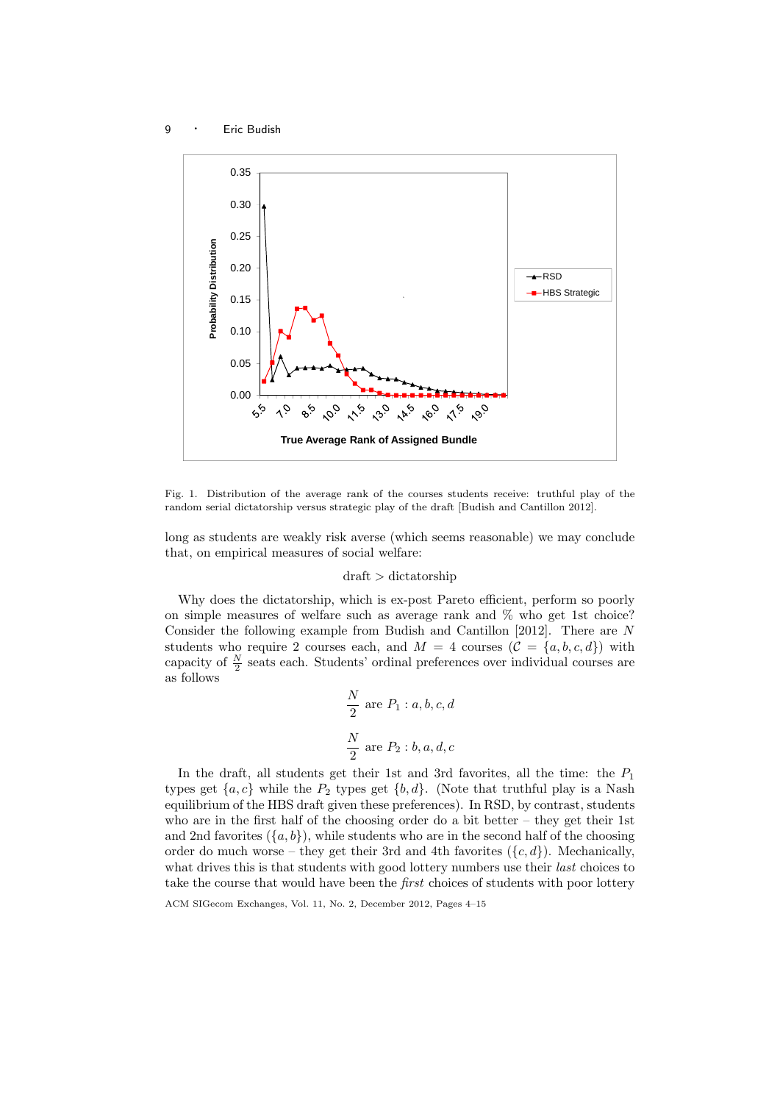

Fig. 1. Distribution of the average rank of the courses students receive: truthful play of the random serial dictatorship versus strategic play of the draft [Budish and Cantillon 2012].

long as students are weakly risk averse (which seems reasonable) we may conclude that, on empirical measures of social welfare:

## draft > dictatorship

Why does the dictatorship, which is ex-post Pareto efficient, perform so poorly on simple measures of welfare such as average rank and % who get 1st choice? Consider the following example from Budish and Cantillon [2012]. There are N students who require 2 courses each, and  $M = 4$  courses  $(C = \{a, b, c, d\})$  with capacity of  $\frac{N}{2}$  seats each. Students' ordinal preferences over individual courses are as follows

$$
\frac{N}{2} \text{ are } P_1: a, b, c, d
$$
  

$$
\frac{N}{2} \text{ are } P_2: b, a, d, c
$$

In the draft, all students get their 1st and 3rd favorites, all the time: the  $P_1$ types get  $\{a, c\}$  while the  $P_2$  types get  $\{b, d\}$ . (Note that truthful play is a Nash equilibrium of the HBS draft given these preferences). In RSD, by contrast, students who are in the first half of the choosing order do a bit better  $-$  they get their 1st and 2nd favorites  $({a, b})$ , while students who are in the second half of the choosing order do much worse – they get their 3rd and 4th favorites  $({c, d})$ . Mechanically, what drives this is that students with good lottery numbers use their *last* choices to take the course that would have been the first choices of students with poor lottery

ACM SIGecom Exchanges, Vol. 11, No. 2, December 2012, Pages 4–15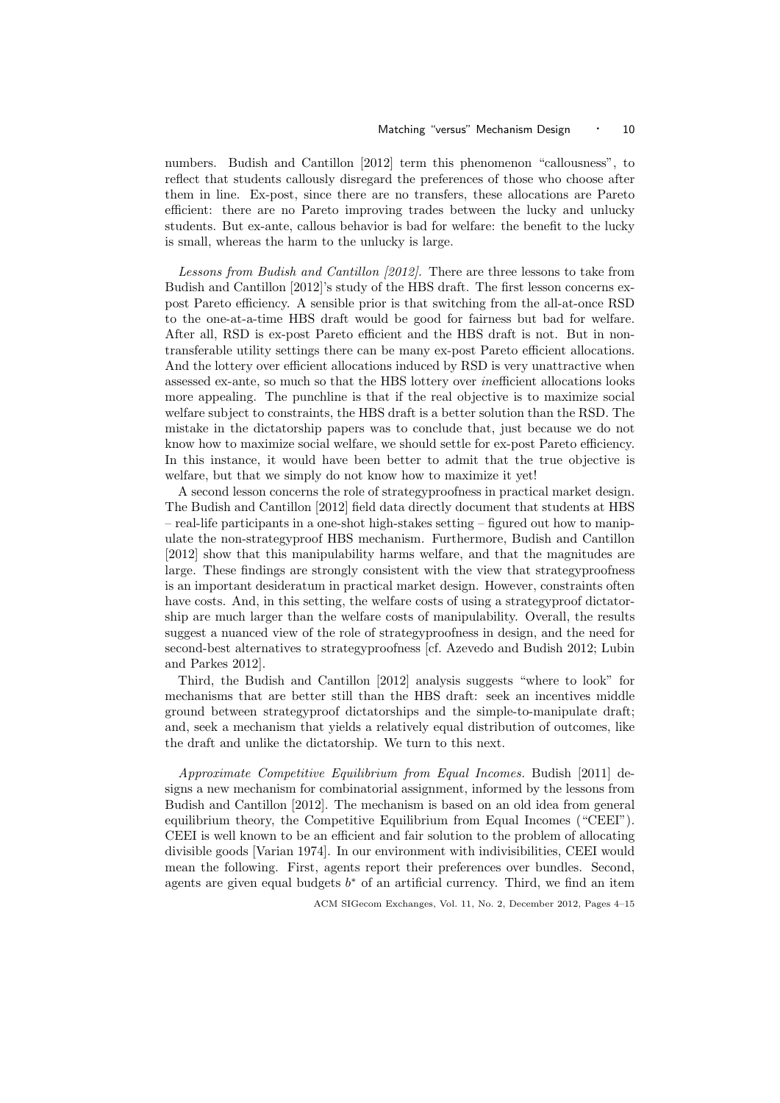numbers. Budish and Cantillon [2012] term this phenomenon "callousness", to reflect that students callously disregard the preferences of those who choose after them in line. Ex-post, since there are no transfers, these allocations are Pareto efficient: there are no Pareto improving trades between the lucky and unlucky students. But ex-ante, callous behavior is bad for welfare: the benefit to the lucky is small, whereas the harm to the unlucky is large.

Lessons from Budish and Cantillon [2012]. There are three lessons to take from Budish and Cantillon [2012]'s study of the HBS draft. The first lesson concerns expost Pareto efficiency. A sensible prior is that switching from the all-at-once RSD to the one-at-a-time HBS draft would be good for fairness but bad for welfare. After all, RSD is ex-post Pareto efficient and the HBS draft is not. But in nontransferable utility settings there can be many ex-post Pareto efficient allocations. And the lottery over efficient allocations induced by RSD is very unattractive when assessed ex-ante, so much so that the HBS lottery over inefficient allocations looks more appealing. The punchline is that if the real objective is to maximize social welfare subject to constraints, the HBS draft is a better solution than the RSD. The mistake in the dictatorship papers was to conclude that, just because we do not know how to maximize social welfare, we should settle for ex-post Pareto efficiency. In this instance, it would have been better to admit that the true objective is welfare, but that we simply do not know how to maximize it yet!

A second lesson concerns the role of strategyproofness in practical market design. The Budish and Cantillon [2012] field data directly document that students at HBS – real-life participants in a one-shot high-stakes setting – figured out how to manipulate the non-strategyproof HBS mechanism. Furthermore, Budish and Cantillon [2012] show that this manipulability harms welfare, and that the magnitudes are large. These findings are strongly consistent with the view that strategyproofness is an important desideratum in practical market design. However, constraints often have costs. And, in this setting, the welfare costs of using a strategyproof dictatorship are much larger than the welfare costs of manipulability. Overall, the results suggest a nuanced view of the role of strategyproofness in design, and the need for second-best alternatives to strategyproofness [cf. Azevedo and Budish 2012; Lubin and Parkes 2012].

Third, the Budish and Cantillon [2012] analysis suggests "where to look" for mechanisms that are better still than the HBS draft: seek an incentives middle ground between strategyproof dictatorships and the simple-to-manipulate draft; and, seek a mechanism that yields a relatively equal distribution of outcomes, like the draft and unlike the dictatorship. We turn to this next.

Approximate Competitive Equilibrium from Equal Incomes. Budish [2011] designs a new mechanism for combinatorial assignment, informed by the lessons from Budish and Cantillon [2012]. The mechanism is based on an old idea from general equilibrium theory, the Competitive Equilibrium from Equal Incomes ("CEEI"). CEEI is well known to be an efficient and fair solution to the problem of allocating divisible goods [Varian 1974]. In our environment with indivisibilities, CEEI would mean the following. First, agents report their preferences over bundles. Second, agents are given equal budgets  $b^*$  of an artificial currency. Third, we find an item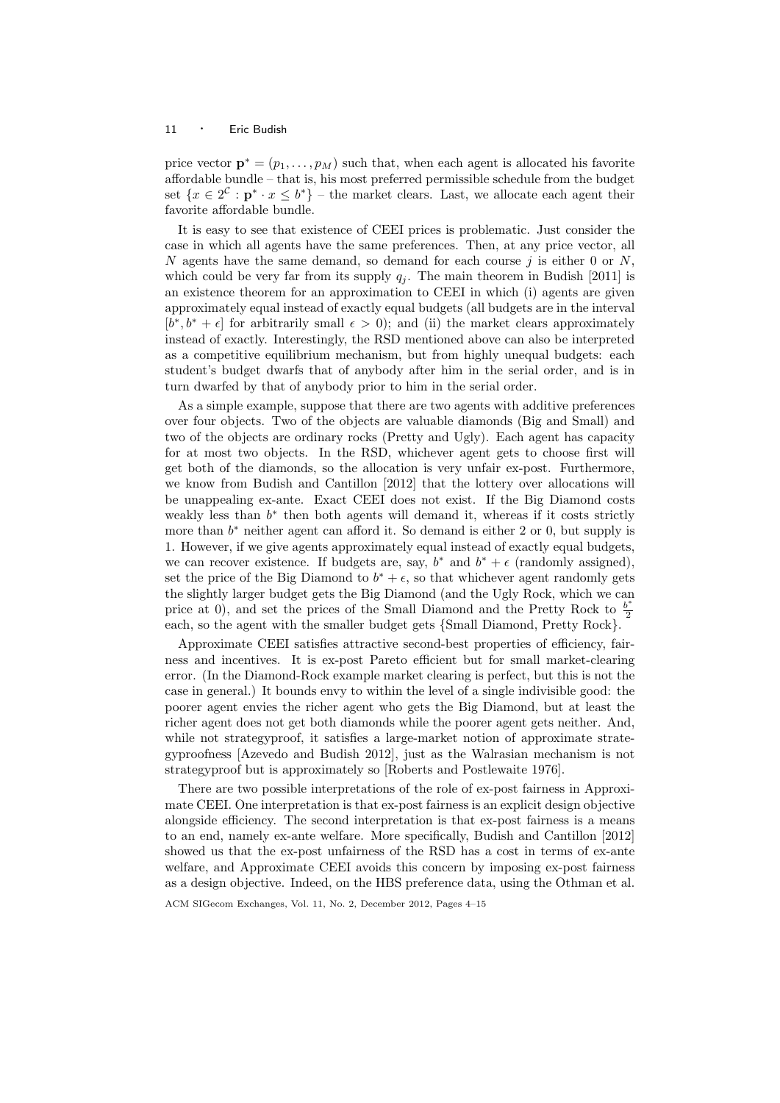price vector  $\mathbf{p}^* = (p_1, \ldots, p_M)$  such that, when each agent is allocated his favorite affordable bundle – that is, his most preferred permissible schedule from the budget set  $\{x \in 2^{\mathcal{C}} : \mathbf{p}^* \cdot x \leq b^*\}$  – the market clears. Last, we allocate each agent their favorite affordable bundle.

It is easy to see that existence of CEEI prices is problematic. Just consider the case in which all agents have the same preferences. Then, at any price vector, all N agents have the same demand, so demand for each course  $j$  is either 0 or N, which could be very far from its supply  $q_i$ . The main theorem in Budish [2011] is an existence theorem for an approximation to CEEI in which (i) agents are given approximately equal instead of exactly equal budgets (all budgets are in the interval  $[b^*, b^* + \epsilon]$  for arbitrarily small  $\epsilon > 0$ ); and (ii) the market clears approximately instead of exactly. Interestingly, the RSD mentioned above can also be interpreted as a competitive equilibrium mechanism, but from highly unequal budgets: each student's budget dwarfs that of anybody after him in the serial order, and is in turn dwarfed by that of anybody prior to him in the serial order.

As a simple example, suppose that there are two agents with additive preferences over four objects. Two of the objects are valuable diamonds (Big and Small) and two of the objects are ordinary rocks (Pretty and Ugly). Each agent has capacity for at most two objects. In the RSD, whichever agent gets to choose first will get both of the diamonds, so the allocation is very unfair ex-post. Furthermore, we know from Budish and Cantillon [2012] that the lottery over allocations will be unappealing ex-ante. Exact CEEI does not exist. If the Big Diamond costs weakly less than  $b^*$  then both agents will demand it, whereas if it costs strictly more than  $b^*$  neither agent can afford it. So demand is either 2 or 0, but supply is 1. However, if we give agents approximately equal instead of exactly equal budgets, we can recover existence. If budgets are, say,  $b^*$  and  $b^* + \epsilon$  (randomly assigned), set the price of the Big Diamond to  $b^* + \epsilon$ , so that whichever agent randomly gets the slightly larger budget gets the Big Diamond (and the Ugly Rock, which we can price at 0), and set the prices of the Small Diamond and the Pretty Rock to  $\frac{b^*}{2}$ 2 each, so the agent with the smaller budget gets {Small Diamond, Pretty Rock}.

Approximate CEEI satisfies attractive second-best properties of efficiency, fairness and incentives. It is ex-post Pareto efficient but for small market-clearing error. (In the Diamond-Rock example market clearing is perfect, but this is not the case in general.) It bounds envy to within the level of a single indivisible good: the poorer agent envies the richer agent who gets the Big Diamond, but at least the richer agent does not get both diamonds while the poorer agent gets neither. And, while not strategyproof, it satisfies a large-market notion of approximate strategyproofness [Azevedo and Budish 2012], just as the Walrasian mechanism is not strategyproof but is approximately so [Roberts and Postlewaite 1976].

There are two possible interpretations of the role of ex-post fairness in Approximate CEEI. One interpretation is that ex-post fairness is an explicit design objective alongside efficiency. The second interpretation is that ex-post fairness is a means to an end, namely ex-ante welfare. More specifically, Budish and Cantillon [2012] showed us that the ex-post unfairness of the RSD has a cost in terms of ex-ante welfare, and Approximate CEEI avoids this concern by imposing ex-post fairness as a design objective. Indeed, on the HBS preference data, using the Othman et al.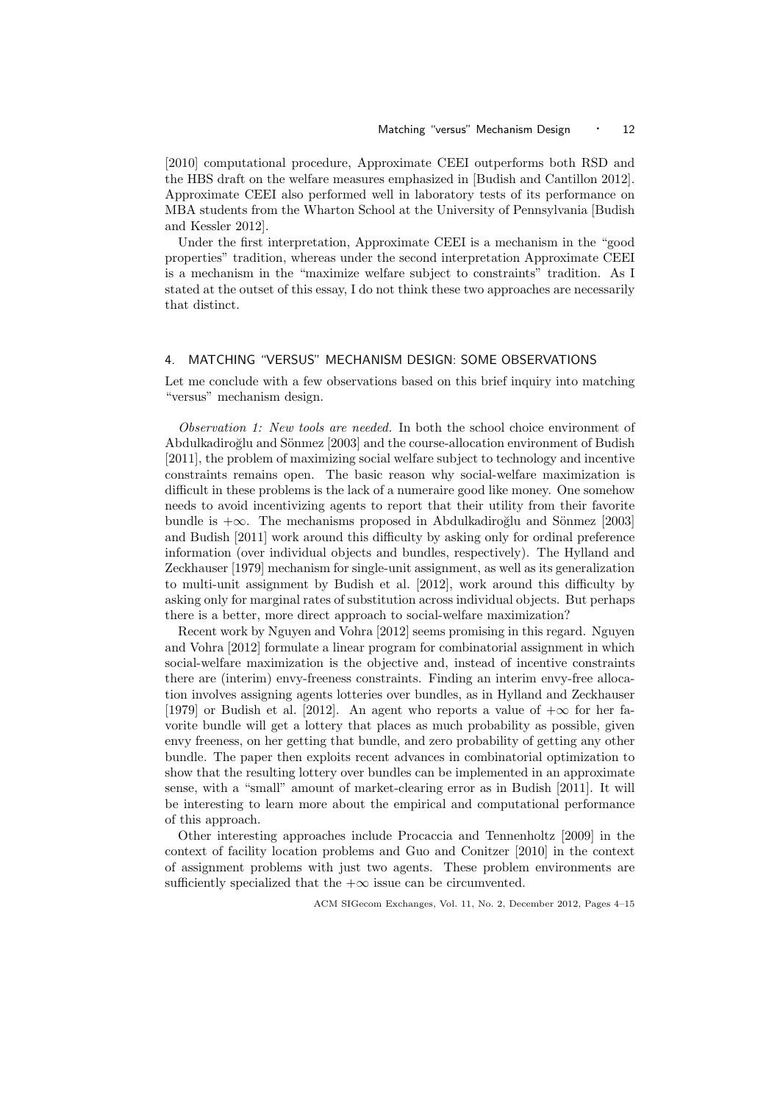[2010] computational procedure, Approximate CEEI outperforms both RSD and the HBS draft on the welfare measures emphasized in [Budish and Cantillon 2012]. Approximate CEEI also performed well in laboratory tests of its performance on MBA students from the Wharton School at the University of Pennsylvania [Budish and Kessler 2012].

Under the first interpretation, Approximate CEEI is a mechanism in the "good properties" tradition, whereas under the second interpretation Approximate CEEI is a mechanism in the "maximize welfare subject to constraints" tradition. As I stated at the outset of this essay, I do not think these two approaches are necessarily that distinct.

## 4. MATCHING "VERSUS" MECHANISM DESIGN: SOME OBSERVATIONS

Let me conclude with a few observations based on this brief inquiry into matching "versus" mechanism design.

Observation 1: New tools are needed. In both the school choice environment of Abdulkadiroğlu and Sönmez [2003] and the course-allocation environment of Budish [2011], the problem of maximizing social welfare subject to technology and incentive constraints remains open. The basic reason why social-welfare maximization is difficult in these problems is the lack of a numeraire good like money. One somehow needs to avoid incentivizing agents to report that their utility from their favorite bundle is  $+\infty$ . The mechanisms proposed in Abdulkadiroğlu and Sönmez [2003] and Budish [2011] work around this difficulty by asking only for ordinal preference information (over individual objects and bundles, respectively). The Hylland and Zeckhauser [1979] mechanism for single-unit assignment, as well as its generalization to multi-unit assignment by Budish et al. [2012], work around this difficulty by asking only for marginal rates of substitution across individual objects. But perhaps there is a better, more direct approach to social-welfare maximization?

Recent work by Nguyen and Vohra [2012] seems promising in this regard. Nguyen and Vohra [2012] formulate a linear program for combinatorial assignment in which social-welfare maximization is the objective and, instead of incentive constraints there are (interim) envy-freeness constraints. Finding an interim envy-free allocation involves assigning agents lotteries over bundles, as in Hylland and Zeckhauser [1979] or Budish et al. [2012]. An agent who reports a value of  $+\infty$  for her favorite bundle will get a lottery that places as much probability as possible, given envy freeness, on her getting that bundle, and zero probability of getting any other bundle. The paper then exploits recent advances in combinatorial optimization to show that the resulting lottery over bundles can be implemented in an approximate sense, with a "small" amount of market-clearing error as in Budish [2011]. It will be interesting to learn more about the empirical and computational performance of this approach.

Other interesting approaches include Procaccia and Tennenholtz [2009] in the context of facility location problems and Guo and Conitzer [2010] in the context of assignment problems with just two agents. These problem environments are sufficiently specialized that the  $+\infty$  issue can be circumvented.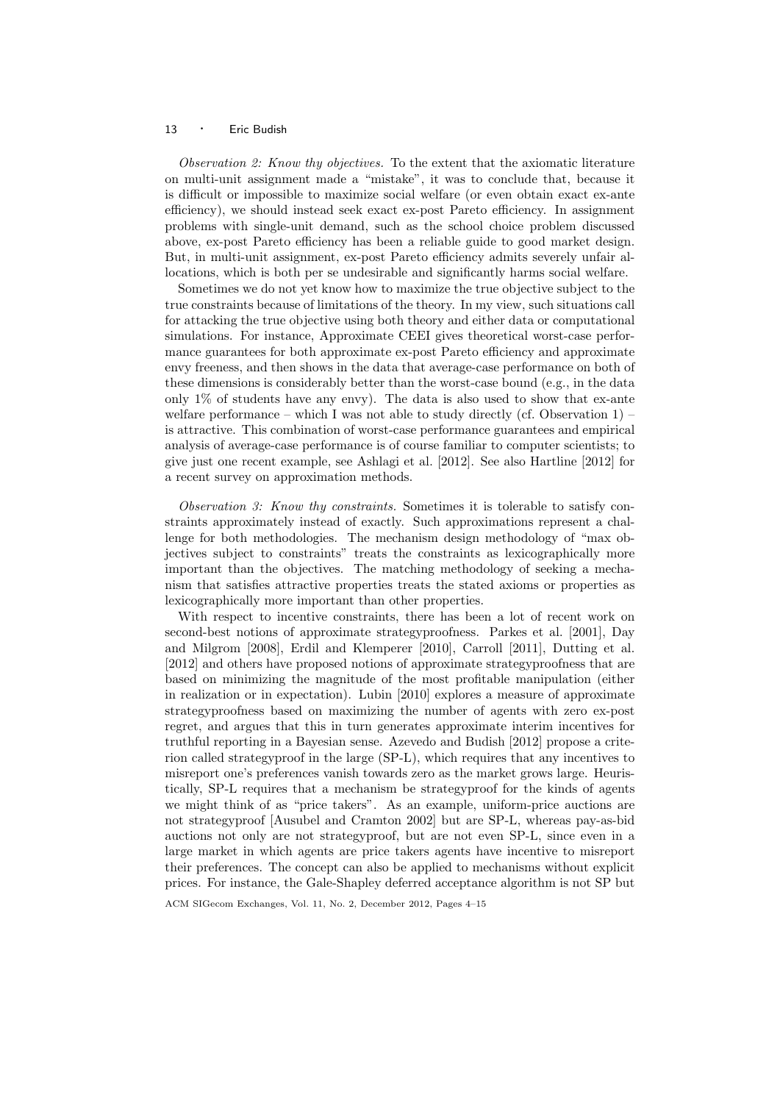Observation 2: Know thy objectives. To the extent that the axiomatic literature on multi-unit assignment made a "mistake", it was to conclude that, because it is difficult or impossible to maximize social welfare (or even obtain exact ex-ante efficiency), we should instead seek exact ex-post Pareto efficiency. In assignment problems with single-unit demand, such as the school choice problem discussed above, ex-post Pareto efficiency has been a reliable guide to good market design. But, in multi-unit assignment, ex-post Pareto efficiency admits severely unfair allocations, which is both per se undesirable and significantly harms social welfare.

Sometimes we do not yet know how to maximize the true objective subject to the true constraints because of limitations of the theory. In my view, such situations call for attacking the true objective using both theory and either data or computational simulations. For instance, Approximate CEEI gives theoretical worst-case performance guarantees for both approximate ex-post Pareto efficiency and approximate envy freeness, and then shows in the data that average-case performance on both of these dimensions is considerably better than the worst-case bound (e.g., in the data only 1% of students have any envy). The data is also used to show that ex-ante welfare performance – which I was not able to study directly (cf. Observation 1) – is attractive. This combination of worst-case performance guarantees and empirical analysis of average-case performance is of course familiar to computer scientists; to give just one recent example, see Ashlagi et al. [2012]. See also Hartline [2012] for a recent survey on approximation methods.

Observation 3: Know thy constraints. Sometimes it is tolerable to satisfy constraints approximately instead of exactly. Such approximations represent a challenge for both methodologies. The mechanism design methodology of "max objectives subject to constraints" treats the constraints as lexicographically more important than the objectives. The matching methodology of seeking a mechanism that satisfies attractive properties treats the stated axioms or properties as lexicographically more important than other properties.

With respect to incentive constraints, there has been a lot of recent work on second-best notions of approximate strategyproofness. Parkes et al. [2001], Day and Milgrom [2008], Erdil and Klemperer [2010], Carroll [2011], Dutting et al. [2012] and others have proposed notions of approximate strategyproofness that are based on minimizing the magnitude of the most profitable manipulation (either in realization or in expectation). Lubin [2010] explores a measure of approximate strategyproofness based on maximizing the number of agents with zero ex-post regret, and argues that this in turn generates approximate interim incentives for truthful reporting in a Bayesian sense. Azevedo and Budish [2012] propose a criterion called strategyproof in the large (SP-L), which requires that any incentives to misreport one's preferences vanish towards zero as the market grows large. Heuristically, SP-L requires that a mechanism be strategyproof for the kinds of agents we might think of as "price takers". As an example, uniform-price auctions are not strategyproof [Ausubel and Cramton 2002] but are SP-L, whereas pay-as-bid auctions not only are not strategyproof, but are not even SP-L, since even in a large market in which agents are price takers agents have incentive to misreport their preferences. The concept can also be applied to mechanisms without explicit prices. For instance, the Gale-Shapley deferred acceptance algorithm is not SP but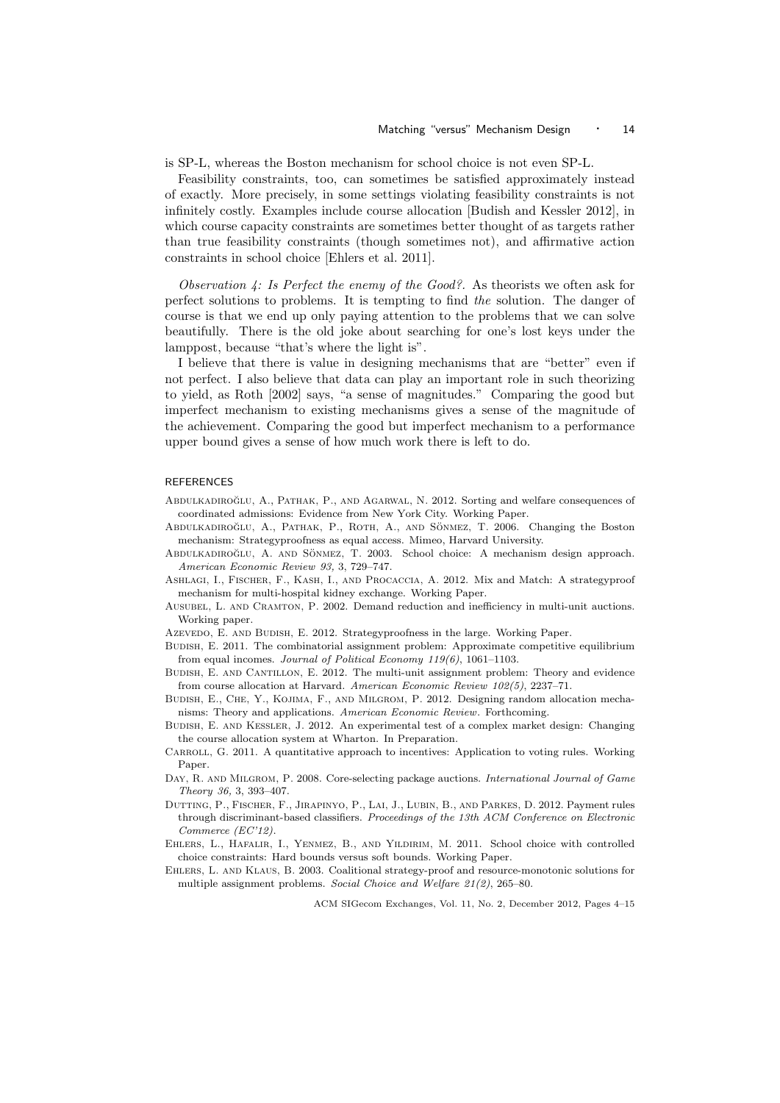is SP-L, whereas the Boston mechanism for school choice is not even SP-L.

Feasibility constraints, too, can sometimes be satisfied approximately instead of exactly. More precisely, in some settings violating feasibility constraints is not infinitely costly. Examples include course allocation [Budish and Kessler 2012], in which course capacity constraints are sometimes better thought of as targets rather than true feasibility constraints (though sometimes not), and affirmative action constraints in school choice [Ehlers et al. 2011].

Observation 4: Is Perfect the enemy of the Good?. As theorists we often ask for perfect solutions to problems. It is tempting to find the solution. The danger of course is that we end up only paying attention to the problems that we can solve beautifully. There is the old joke about searching for one's lost keys under the lamppost, because "that's where the light is".

I believe that there is value in designing mechanisms that are "better" even if not perfect. I also believe that data can play an important role in such theorizing to yield, as Roth [2002] says, "a sense of magnitudes." Comparing the good but imperfect mechanism to existing mechanisms gives a sense of the magnitude of the achievement. Comparing the good but imperfect mechanism to a performance upper bound gives a sense of how much work there is left to do.

## REFERENCES

- ABDULKADIROĞLU, A., PATHAK, P., AND AGARWAL, N. 2012. Sorting and welfare consequences of coordinated admissions: Evidence from New York City. Working Paper.
- ABDULKADIROĞLU, A., PATHAK, P., ROTH, A., AND SÖNMEZ, T. 2006. Changing the Boston mechanism: Strategyproofness as equal access. Mimeo, Harvard University.
- ABDULKADIROĞLU, A. AND SÖNMEZ, T. 2003. School choice: A mechanism design approach. American Economic Review 93, 3, 729–747.
- Ashlagi, I., Fischer, F., Kash, I., and Procaccia, A. 2012. Mix and Match: A strategyproof mechanism for multi-hospital kidney exchange. Working Paper.
- Ausubel, L. and Cramton, P. 2002. Demand reduction and inefficiency in multi-unit auctions. Working paper.
- Azevedo, E. AND BUDISH, E. 2012. Strategyproofness in the large. Working Paper.
- Budish, E. 2011. The combinatorial assignment problem: Approximate competitive equilibrium from equal incomes. Journal of Political Economy 119(6), 1061–1103.
- BUDISH, E. AND CANTILLON, E. 2012. The multi-unit assignment problem: Theory and evidence from course allocation at Harvard. American Economic Review 102(5), 2237–71.
- Budish, E., Che, Y., Kojima, F., and Milgrom, P. 2012. Designing random allocation mechanisms: Theory and applications. American Economic Review. Forthcoming.
- Budish, E. and Kessler, J. 2012. An experimental test of a complex market design: Changing the course allocation system at Wharton. In Preparation.
- CARROLL, G. 2011. A quantitative approach to incentives: Application to voting rules. Working Paper.
- DAY, R. AND MILGROM, P. 2008. Core-selecting package auctions. International Journal of Game Theory 36, 3, 393–407.
- Dutting, P., Fischer, F., Jirapinyo, P., Lai, J., Lubin, B., and Parkes, D. 2012. Payment rules through discriminant-based classifiers. Proceedings of the 13th ACM Conference on Electronic Commerce (EC'12).
- Ehlers, L., Hafalir, I., Yenmez, B., and Yildirim, M. 2011. School choice with controlled choice constraints: Hard bounds versus soft bounds. Working Paper.
- Ehlers, L. and Klaus, B. 2003. Coalitional strategy-proof and resource-monotonic solutions for multiple assignment problems. Social Choice and Welfare 21(2), 265–80.